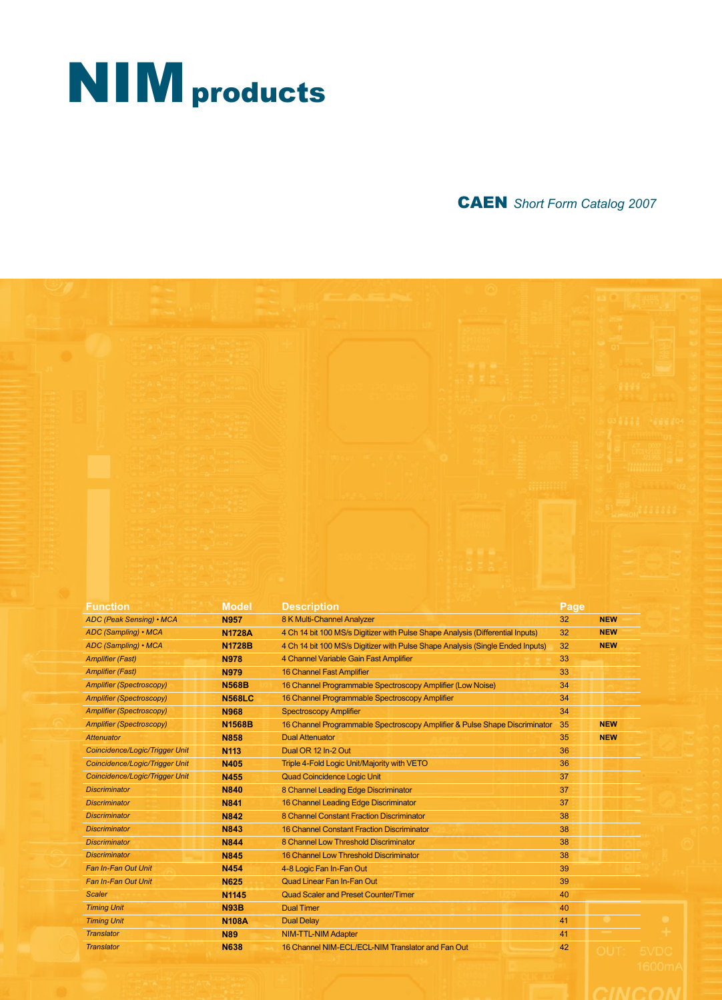# **NIM** products

# CAEN *Short Form Catalog 2007*

| <b>Function</b>                 | <b>Model</b>  | <b>Description</b>                                                             | Page |            |  |
|---------------------------------|---------------|--------------------------------------------------------------------------------|------|------------|--|
| <b>ADC (Peak Sensing) • MCA</b> | <b>N957</b>   | 8 K Multi-Channel Analyzer                                                     | 32   | <b>NEW</b> |  |
| ADC (Sampling) • MCA            | <b>N1728A</b> | 4 Ch 14 bit 100 MS/s Digitizer with Pulse Shape Analysis (Differential Inputs) | 32   | <b>NEW</b> |  |
| ADC (Sampling) • MCA            | <b>N1728B</b> | 4 Ch 14 bit 100 MS/s Digitizer with Pulse Shape Analysis (Single Ended Inputs) | 32   | <b>NEW</b> |  |
| <b>Amplifier (Fast)</b>         | <b>N978</b>   | 4 Channel Variable Gain Fast Amplifier                                         | 33   |            |  |
| <b>Amplifier (Fast)</b>         | <b>N979</b>   | <b>16 Channel Fast Amplifier</b>                                               | 33   |            |  |
| <b>Amplifier (Spectroscopy)</b> | <b>N568B</b>  | 16 Channel Programmable Spectroscopy Amplifier (Low Noise)                     | 34   |            |  |
| <b>Amplifier (Spectroscopy)</b> | <b>N568LC</b> | 16 Channel Programmable Spectroscopy Amplifier                                 | 34   |            |  |
| <b>Amplifier (Spectroscopy)</b> | <b>N968</b>   | <b>Spectroscopy Amplifier</b>                                                  | 34   |            |  |
| <b>Amplifier (Spectroscopy)</b> | <b>N1568B</b> | 16 Channel Programmable Spectroscopy Amplifier & Pulse Shape Discriminator     | 35   | <b>NEW</b> |  |
| <b>Attenuator</b>               | <b>N858</b>   | <b>Dual Attenuator</b>                                                         | 35   | <b>NEW</b> |  |
| Coincidence/Logic/Trigger Unit  | <b>N113</b>   | Dual OR 12 In-2 Out                                                            | 36   |            |  |
| Coincidence/Logic/Trigger Unit  | <b>N405</b>   | Triple 4-Fold Logic Unit/Majority with VETO                                    | 36   |            |  |
| Coincidence/Logic/Trigger Unit  | <b>N455</b>   | <b>Quad Coincidence Logic Unit</b>                                             | 37   |            |  |
| <b>Discriminator</b>            | <b>N840</b>   | 8 Channel Leading Edge Discriminator                                           | 37   |            |  |
| <b>Discriminator</b>            | <b>N841</b>   | 16 Channel Leading Edge Discriminator                                          | 37   |            |  |
| <b>Discriminator</b>            | <b>N842</b>   | 8 Channel Constant Fraction Discriminator                                      | 38   |            |  |
| <b>Discriminator</b>            | <b>N843</b>   | <b>16 Channel Constant Fraction Discriminator</b>                              | 38   |            |  |
| <b>Discriminator</b>            | <b>N844</b>   | 8 Channel Low Threshold Discriminator                                          | 38   |            |  |
|                                 |               |                                                                                | 38   |            |  |
| <b>Discriminator</b>            | <b>N845</b>   | <b>16 Channel Low Threshold Discriminator</b>                                  |      |            |  |
| Fan In-Fan Out Unit             | <b>N454</b>   | 4-8 Logic Fan In-Fan Out                                                       | 39   |            |  |
| <b>Fan In-Fan Out Unit</b>      | <b>N625</b>   | Quad Linear Fan In-Fan Out                                                     | 39   |            |  |
| <b>Scaler</b>                   | N1145         | <b>Quad Scaler and Preset Counter/Timer</b>                                    | 40   |            |  |
| <b>Timing Unit</b>              | <b>N93B</b>   | <b>Dual Timer</b>                                                              | 40   |            |  |
| <b>Timing Unit</b>              | <b>N108A</b>  | <b>Dual Delay</b>                                                              | 41   |            |  |
| <b>Translator</b>               | <b>N89</b>    | <b>NIM-TTL-NIM Adapter</b>                                                     | 41   |            |  |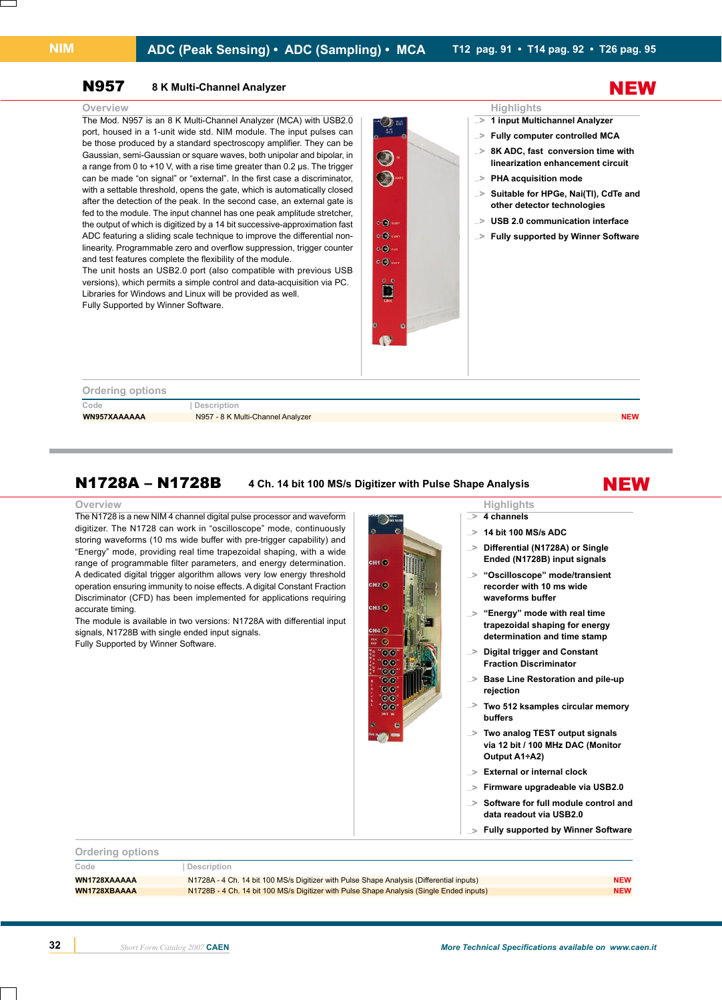### N957 **8 K Multi-Channel Analyzer**

The Mod. N957 is an 8 K Multi-Channel Analyzer (MCA) with USB2.0 port, housed in a 1-unit wide std. NIM module. The input pulses can be those produced by a standard spectroscopy amplifier. They can be Gaussian, semi-Gaussian or square waves, both unipolar and bipolar, in a range from 0 to +10 V, with a rise time greater than 0.2 us. The trigger can be made "on signal" or "external". In the first case a discriminator, with a settable threshold, opens the gate, which is automatically closed after the detection of the peak. In the second case, an external gate is fed to the module. The input channel has one peak amplitude stretcher, the output of which is digitized by a 14 bit successive-approximation fast ADC featuring a sliding scale technique to improve the differential nonlinearity. Programmable zero and overflow suppression, trigger counter and test features complete the flexibility of the module.

The unit hosts an USB2.0 port (also compatible with previous USB versions), which permits a simple control and data-acquisition via PC. Libraries for Windows and Linux will be provided as well. Fully Supported by Winner Software.



# NEW

- **1 input Multichannel Analyzer ...**>
- **Fully computer controlled MCA ...**>
- **8K ADC, fast conversion time with linearization enhancement circuit ...**>
- **PHA acquisition mode ...**>
- **Suitable for HPGe, Nai(Tl), CdTe and other detector technologies ...**>
- **USB 2.0 communication interface ...**>
- **Fully supported by Winner Software ...**>

| <b>Ordering options</b> |                                   |            |
|-------------------------|-----------------------------------|------------|
| Code                    | Description                       |            |
| WN957XAAAAAA            | N957 - 8 K Multi-Channel Analyzer | <b>NEW</b> |
|                         |                                   |            |

### N1728A – N1728B **4 Ch. 14 bit 100 MS/s Digitizer with Pulse Shape Analysis**

### **Overview Highlights**

The N1728 is a new NIM 4 channel digital pulse processor and waveform digitizer. The N1728 can work in "oscilloscope" mode, continuously storing waveforms (10 ms wide buffer with pre-trigger capability) and "Energy" mode, providing real time trapezoidal shaping, with a wide range of programmable filter parameters, and energy determination. A dedicated digital trigger algorithm allows very low energy threshold operation ensuring immunity to noise effects. A digital Constant Fraction Discriminator (CFD) has been implemented for applications requiring accurate timing.

The module is available in two versions: N1728A with differential input signals, N1728B with single ended input signals. Fully Supported by Winner Software.



**NEW** 

# **4 channels**

**...**>

**14 bit 100 MS/s ADC ...**>

**waveforms buffer**

- **Differential (N1728A) or Single Ended (N1728B) input signals ...**>
- **"Oscilloscope" mode/transient recorder with 10 ms wide ...**>
- **"Energy" mode with real time trapezoidal shaping for energy determination and time stamp ...**>
- **Digital trigger and Constant Fraction Discriminator ...**>
- **Base Line Restoration and pile-up rejection ...**>
- **Two 512 ksamples circular memory buffers ...**>
- **Two analog TEST output signals via 12 bit / 100 MHz DAC (Monitor Output A1÷A2) ...**>
- **External or internal clock ...**>
- **Firmware upgradeable via USB2.0 ...**>
- **Software for full module control and data readout via USB2.0 ...**>
- **Fully supported by Winner Software ...**>

| <b>Orderling options</b> |                                                                                          |            |
|--------------------------|------------------------------------------------------------------------------------------|------------|
| Code                     | Description                                                                              |            |
| WN1728XAAAAA             | N1728A - 4 Ch. 14 bit 100 MS/s Digitizer with Pulse Shape Analysis (Differential inputs) | <b>NEW</b> |
| WN1728XBAAAA             | N1728B - 4 Ch. 14 bit 100 MS/s Digitizer with Pulse Shape Analysis (Single Ended inputs) | <b>NEW</b> |
|                          |                                                                                          |            |

**Ordering options**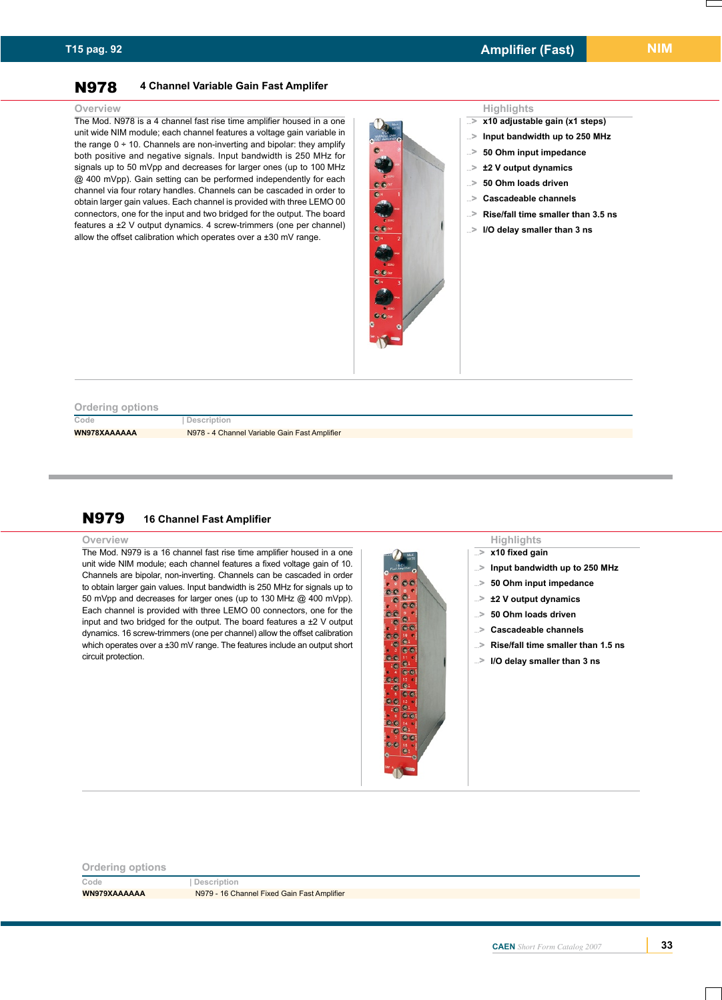### N978 **4 Channel Variable Gain Fast Amplifer**

The Mod. N978 is a 4 channel fast rise time amplifier housed in a one unit wide NIM module; each channel features a voltage gain variable in the range  $0 \div 10$ . Channels are non-inverting and bipolar: they amplify both positive and negative signals. Input bandwidth is 250 MHz for signals up to 50 mVpp and decreases for larger ones (up to 100 MHz @ 400 mVpp). Gain setting can be performed independently for each channel via four rotary handles. Channels can be cascaded in order to obtain larger gain values. Each channel is provided with three LEMO 00 connectors, one for the input and two bridged for the output. The board features a ±2 V output dynamics. 4 screw-trimmers (one per channel) allow the offset calibration which operates over a ±30 mV range.



- **x10 adjustable gain (x1 steps) ...**>
- **Input bandwidth up to 250 MHz ...**>
- **50 Ohm input impedance ...**>
- **±2 V output dynamics ...**>
- **50 Ohm loads driven ...**>
- **Cascadeable channels ...**>

**x10 fixed gain** 

**...**> **...**> **...**> **...**> **...**> **...**> **...**> **...**>

**Input bandwidth up to 250 MHz 50 Ohm input impedance ±2 V output dynamics 50 Ohm loads driven Cascadeable channels**

**Rise/fall time smaller than 1.5 ns I/O delay smaller than 3 ns**

- **Rise/fall time smaller than 3.5 ns ...**>
- **I/O delay smaller than 3 ns ...**>

### **Ordering options**

**Code | Description WN978XAAAAAA** N978 - 4 Channel Variable Gain Fast Amplifier

### N979 **16 Channel Fast Amplifier**

### **Overview Highlights**

The Mod. N979 is a 16 channel fast rise time amplifier housed in a one unit wide NIM module; each channel features a fixed voltage gain of 10. Channels are bipolar, non-inverting. Channels can be cascaded in order to obtain larger gain values. Input bandwidth is 250 MHz for signals up to 50 mVpp and decreases for larger ones (up to 130 MHz @ 400 mVpp). Each channel is provided with three LEMO 00 connectors, one for the input and two bridged for the output. The board features a  $\pm 2$  V output dynamics. 16 screw-trimmers (one per channel) allow the offset calibration which operates over a ±30 mV range. The features include an output short circuit protection.

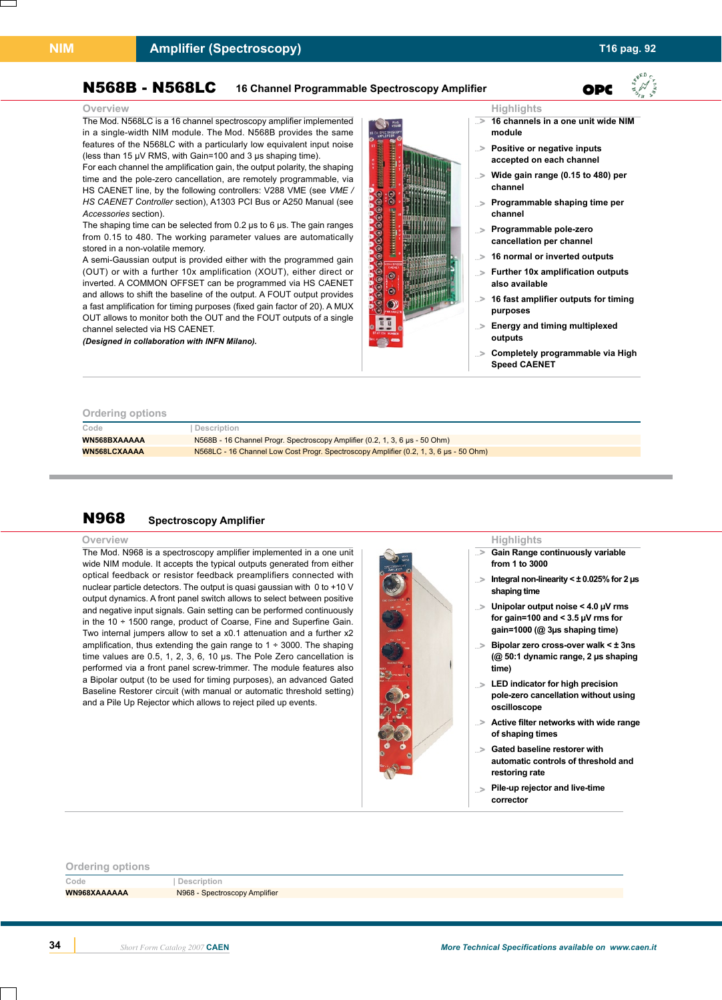### **Amplifier (Spectroscopy) T16 pag. 92**

OPC

### N568B - N568LC **16 Channel Programmable Spectroscopy Amplifier**

The Mod. N568LC is a 16 channel spectroscopy amplifier implemented in a single-width NIM module. The Mod. N568B provides the same features of the N568LC with a particularly low equivalent input noise (less than 15 µV RMS, with Gain=100 and 3 µs shaping time).

For each channel the amplification gain, the output polarity, the shaping time and the pole-zero cancellation, are remotely programmable, via HS CAENET line, by the following controllers: V288 VME (see *VME / HS CAENET Controller* section), A1303 PCI Bus or A250 Manual (see *Accessories* section).

The shaping time can be selected from 0.2 µs to 6 µs. The gain ranges from 0.15 to 480. The working parameter values are automatically stored in a non-volatile memory.

A semi-Gaussian output is provided either with the programmed gain (OUT) or with a further 10x amplification (XOUT), either direct or inverted. A COMMON OFFSET can be programmed via HS CAENET and allows to shift the baseline of the output. A FOUT output provides a fast amplification for timing purposes (fixed gain factor of 20). A MUX OUT allows to monitor both the OUT and the FOUT outputs of a single channel selected via HS CAENET.

*(Designed in collaboration with INFN Milano).*



### **16 channels in a one unit wide NIM ...**>

- **module**
- **Positive or negative inputs ...**> **accepted on each channel**
- **Wide gain range (0.15 to 480) per channel ...**>
- **Programmable shaping time per channel ...**>
- **Programmable pole-zero cancellation per channel ...**>
- **16 normal or inverted outputs ...**>
- **Further 10x amplification outputs also available ...**>
- **16 fast amplifier outputs for timing purposes ...**>
- **Energy and timing multiplexed outputs ...**>
- **Completely programmable via High ...**> **Speed CAENET**

### **Ordering options**

| <b>PRODUCED</b> PRIVID |                                                                                       |
|------------------------|---------------------------------------------------------------------------------------|
| Code                   | Description                                                                           |
| WN568BXAAAAA           | N568B - 16 Channel Progr. Spectroscopy Amplifier (0.2, 1, 3, 6 µs - 50 Ohm)           |
| <b>WN568LCXAAAA</b>    | N568LC - 16 Channel Low Cost Progr. Spectroscopy Amplifier (0.2, 1, 3, 6 µs - 50 Ohm) |
|                        |                                                                                       |

### N968 **Spectroscopy Amplifier**

### **Overview**

The Mod. N968 is a spectroscopy amplifier implemented in a one unit wide NIM module. It accepts the typical outputs generated from either optical feedback or resistor feedback preamplifiers connected with nuclear particle detectors. The output is quasi gaussian with 0 to +10 V output dynamics. A front panel switch allows to select between positive and negative input signals. Gain setting can be performed continuously in the 10 ÷ 1500 range, product of Coarse, Fine and Superfine Gain. Two internal jumpers allow to set a x0.1 attenuation and a further x2 amplification, thus extending the gain range to  $1 \div 3000$ . The shaping time values are 0.5, 1, 2, 3, 6, 10 µs. The Pole Zero cancellation is performed via a front panel screw-trimmer. The module features also a Bipolar output (to be used for timing purposes), an advanced Gated Baseline Restorer circuit (with manual or automatic threshold setting) and a Pile Up Rejector which allows to reject piled up events.



### **Highlights**

- **Gain Range continuously variable from 1 to 3000 ...**>
- **Integral non-linearity < ± 0.025% for 2 µs shaping time ...**>
- **Unipolar output noise < 4.0 µV rms for gain=100 and < 3.5 µV rms for gain=1000 (@ 3µs shaping time) ...**>
- **Bipolar zero cross-over walk < ± 3ns ...**> **(@ 50:1 dynamic range, 2 µs shaping time)**
- **LED indicator for high precision ...**> **pole-zero cancellation without using oscilloscope**
- **Active filter networks with wide range of shaping times ...**>
- **Gated baseline restorer with automatic controls of threshold and restoring rate ...**>
- **Pile-up rejector and live-time corrector ...**>

| <b>Ordering options</b> |                               |
|-------------------------|-------------------------------|
| Code                    | Description                   |
| WN968XAAAAAA            | N968 - Spectroscopy Amplifier |
|                         |                               |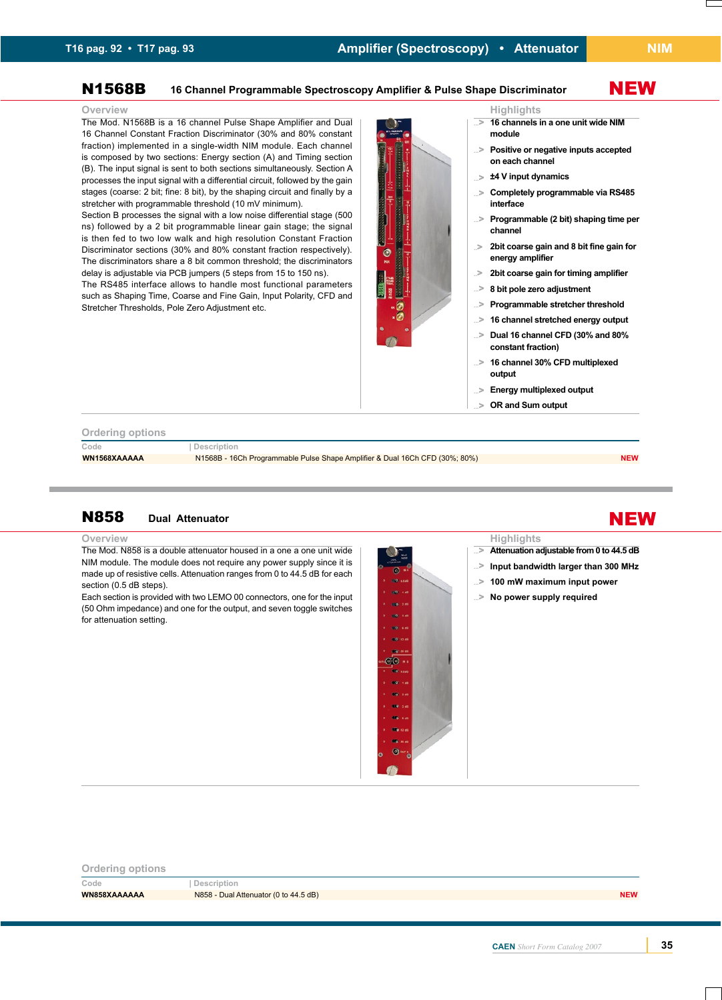NEW

# N1568B **16 Channel Programmable Spectroscopy Amplifier & Pulse Shape Discriminator**

The Mod. N1568B is a 16 channel Pulse Shape Amplifier and Dual 16 Channel Constant Fraction Discriminator (30% and 80% constant fraction) implemented in a single-width NIM module. Each channel is composed by two sections: Energy section (A) and Timing section (B). The input signal is sent to both sections simultaneously. Section A processes the input signal with a differential circuit, followed by the gain stages (coarse: 2 bit; fine: 8 bit), by the shaping circuit and finally by a stretcher with programmable threshold (10 mV minimum).

Section B processes the signal with a low noise differential stage (500 ns) followed by a 2 bit programmable linear gain stage; the signal is then fed to two low walk and high resolution Constant Fraction Discriminator sections (30% and 80% constant fraction respectively). The discriminators share a 8 bit common threshold; the discriminators delay is adjustable via PCB jumpers (5 steps from 15 to 150 ns).

The RS485 interface allows to handle most functional parameters such as Shaping Time, Coarse and Fine Gain, Input Polarity, CFD and Stretcher Thresholds, Pole Zero Adjustment etc.



- **16 channels in a one unit wide NIM ...**> **module**
- **Positive or negative inputs accepted ...**> **on each channel**
- **±4 V input dynamics ...**>
- **Completely programmable via RS485 interface ...**>
- **Programmable (2 bit) shaping time per channel ...**>
- **2bit coarse gain and 8 bit fine gain for energy amplifier ..**>
- **2bit coarse gain for timing amplifier ..**>
- **8 bit pole zero adjustment ...**>
- **Programmable stretcher threshold ...**>
- **16 channel stretched energy output ...**>
- **Dual 16 channel CFD (30% and 80% ...**> **constant fraction)**
- **16 channel 30% CFD multiplexed output ...**>
- **Energy multiplexed output ...**>
- **OR and Sum output ...**>

### **Ordering options**

**Code | Description**

**WN1568XAAAAA** N1568B - 16Ch Programmable Pulse Shape Amplifier & Dual 16Ch CFD (30%; 80%) **NEW** NEW

# N858 **Dual Attenuator**

**Overview Highlights**

The Mod. N858 is a double attenuator housed in a one a one unit wide NIM module. The module does not require any power supply since it is made up of resistive cells. Attenuation ranges from 0 to 44.5 dB for each section (0.5 dB steps).

Each section is provided with two LEMO 00 connectors, one for the input (50 Ohm impedance) and one for the output, and seven toggle switches for attenuation setting.



# **Ordering options Code | Description WN858XAAAAAA** N858 - Dual Attenuator (0 to 44.5 dB) **NEW**

# NEW

- **Attenuation adjustable from 0 to 44.5 dB ...**>
- **Input bandwidth larger than 300 MHz ...**>
- **100 mW maximum input power ...**>
- **No power supply required ...**>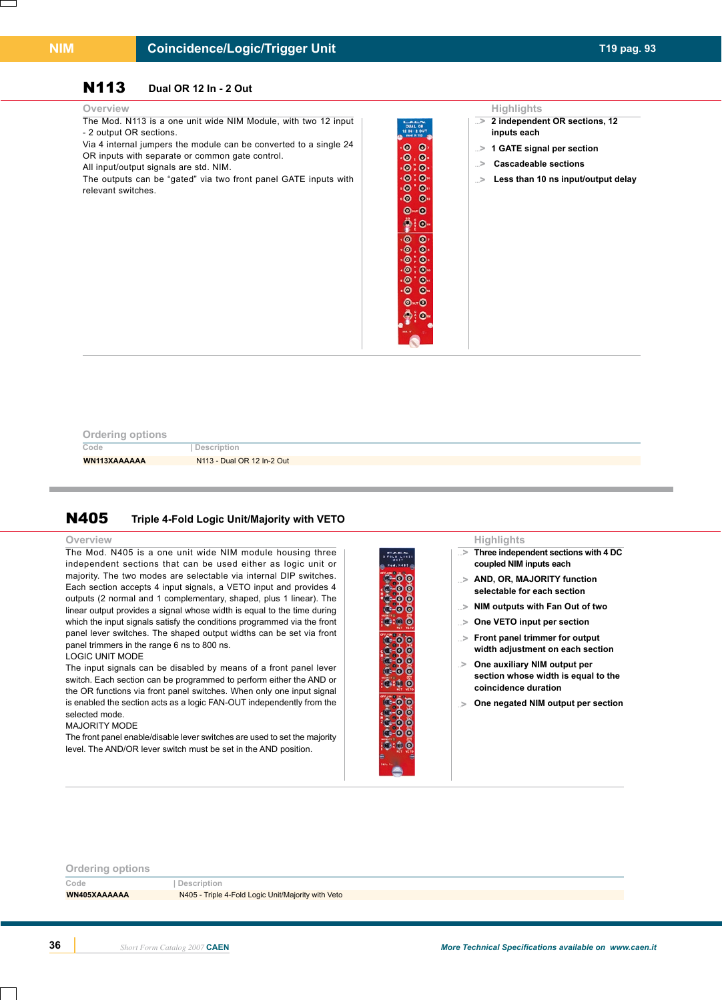### **Coincidence/Logic/Trigger Unit T19 pag. 93**

# N113 **Dual OR 12 In - 2 Out**

The Mod. N113 is a one unit wide NIM Module, with two 12 input - 2 output OR sections.

Via 4 internal jumpers the module can be converted to a single 24 OR inputs with separate or common gate control.

All input/output signals are std. NIM.

The outputs can be "gated" via two front panel GATE inputs with relevant switches.

### **Overview Highlights**

 $\bullet$  $\bullet$ 。。。<br>。。。。  $\cdot$   $\bullet$   $\cdot$   $\bullet$  $\bullet$  $\bullet$  $\bullet$   $\bullet$  $\bullet$  $\ddot{p}$  :  $\odot$  $\overline{\bullet}$  $\bullet$  $. ⑤$ ۰ō  $: \bullet$  $\cdot$  $: ⑤.$  $\ddot{\bullet}$  $\bullet$ ۰ō  $\ddot{\bullet}$  $③$  or  $③$ **卷: 0** 

- **2 independent OR sections, 12 ...**> **inputs each**
- **1 GATE signal per section ...**>
- **Cascadeable sections ...**>
- **Less than 10 ns input/output delay ...**>

| <b>Ordering options</b> |  |  |
|-------------------------|--|--|
|                         |  |  |
|                         |  |  |

**Code | Description**

**WN113XAAAAAA** N113 - Dual OR 12 In-2 Out

### N405 **Triple 4-Fold Logic Unit/Majority with VETO**

### **Overview Highlights**

The Mod. N405 is a one unit wide NIM module housing three independent sections that can be used either as logic unit or majority. The two modes are selectable via internal DIP switches. Each section accepts 4 input signals, a VETO input and provides 4 outputs (2 normal and 1 complementary, shaped, plus 1 linear). The linear output provides a signal whose width is equal to the time during which the input signals satisfy the conditions programmed via the front panel lever switches. The shaped output widths can be set via front panel trimmers in the range 6 ns to 800 ns.

### LOGIC UNIT MODE

The input signals can be disabled by means of a front panel lever switch. Each section can be programmed to perform either the AND or the OR functions via front panel switches. When only one input signal is enabled the section acts as a logic FAN-OUT independently from the selected mode.

### MAJORITY MODE

The front panel enable/disable lever switches are used to set the majority level. The AND/OR lever switch must be set in the AND position.



# **Ordering options Code | Description WN405XAAAAAA** N405 - Triple 4-Fold Logic Unit/Majority with Veto

**Three independent sections with 4 DC** 

**coupled NIM inputs each AND, OR, MAJORITY function ...**> **selectable for each section NIM outputs with Fan Out of two ...**> **One VETO input per section ...**> **Front panel trimmer for output ...**> **width adjustment on each section**

**...**>

**One auxiliary NIM output per ..**>

**coincidence duration**

**section whose width is equal to the** 

**One negated NIM output per section ..**>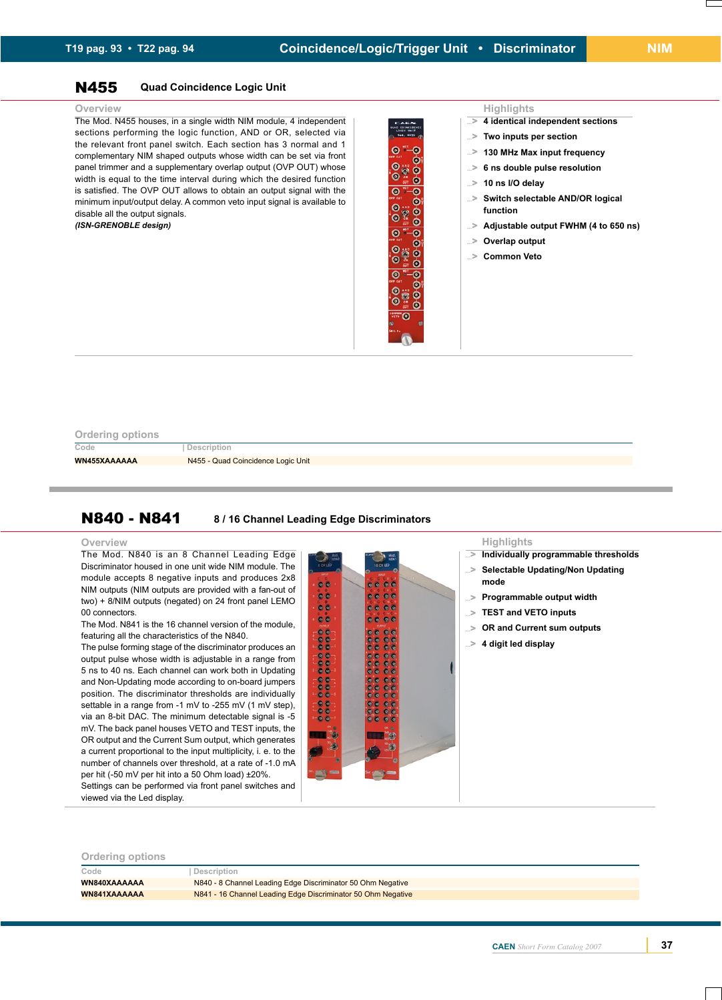### N455 **Quad Coincidence Logic Unit**

### **Overview Highlights**

The Mod. N455 houses, in a single width NIM module, 4 independent sections performing the logic function, AND or OR, selected via the relevant front panel switch. Each section has 3 normal and 1 complementary NIM shaped outputs whose width can be set via front panel trimmer and a supplementary overlap output (OVP OUT) whose width is equal to the time interval during which the desired function is satisfied. The OVP OUT allows to obtain an output signal with the minimum input/output delay. A common veto input signal is available to disable all the output signals.

*(ISN-GRENOBLE design)*



- **4 identical independent sections ...**>
- **Two inputs per section ...**>
- **130 MHz Max input frequency ...**>
- **6 ns double pulse resolution ...**>
- **10 ns I/O delay ...**>
- **Switch selectable AND/OR logical function ...**>
- **Adjustable output FWHM (4 to 650 ns) ...**>
- **Overlap output ...**>
- **Common Veto ...**>

### **Ordering options**

**Code | Description**

**WN455XAAAAAA** N455 - Quad Coincidence Logic Unit

### N840 - N841 **8 / 16 Channel Leading Edge Discriminators**

The Mod. N840 is an 8 Channel Leading Edge Discriminator housed in one unit wide NIM module. The module accepts 8 negative inputs and produces 2x8 NIM outputs (NIM outputs are provided with a fan-out of two) + 8/NIM outputs (negated) on 24 front panel LEMO 00 connectors.

The Mod. N841 is the 16 channel version of the module, featuring all the characteristics of the N840.

The pulse forming stage of the discriminator produces an output pulse whose width is adjustable in a range from 5 ns to 40 ns. Each channel can work both in Updating and Non-Updating mode according to on-board jumpers position. The discriminator thresholds are individually settable in a range from -1 mV to -255 mV (1 mV step), via an 8-bit DAC. The minimum detectable signal is -5 mV. The back panel houses VETO and TEST inputs, the OR output and the Current Sum output, which generates a current proportional to the input multiplicity, i. e. to the number of channels over threshold, at a rate of -1.0 mA per hit (-50 mV per hit into a 50 Ohm load) ±20%. Settings can be performed via front panel switches and



- **Individually programmable thresholds ...**>
- **Selectable Updating/Non Updating mode ...**>
- **Programmable output width ...**>
- **TEST and VETO inputs ...**>
- **OR and Current sum outputs ...**>
- **4 digit led display ...**>

### **Ordering options**

viewed via the Led display.

| Code         | Description                                                  |
|--------------|--------------------------------------------------------------|
| WN840XAAAAAA | N840 - 8 Channel Leading Edge Discriminator 50 Ohm Negative  |
| WN841XAAAAAA | N841 - 16 Channel Leading Edge Discriminator 50 Ohm Negative |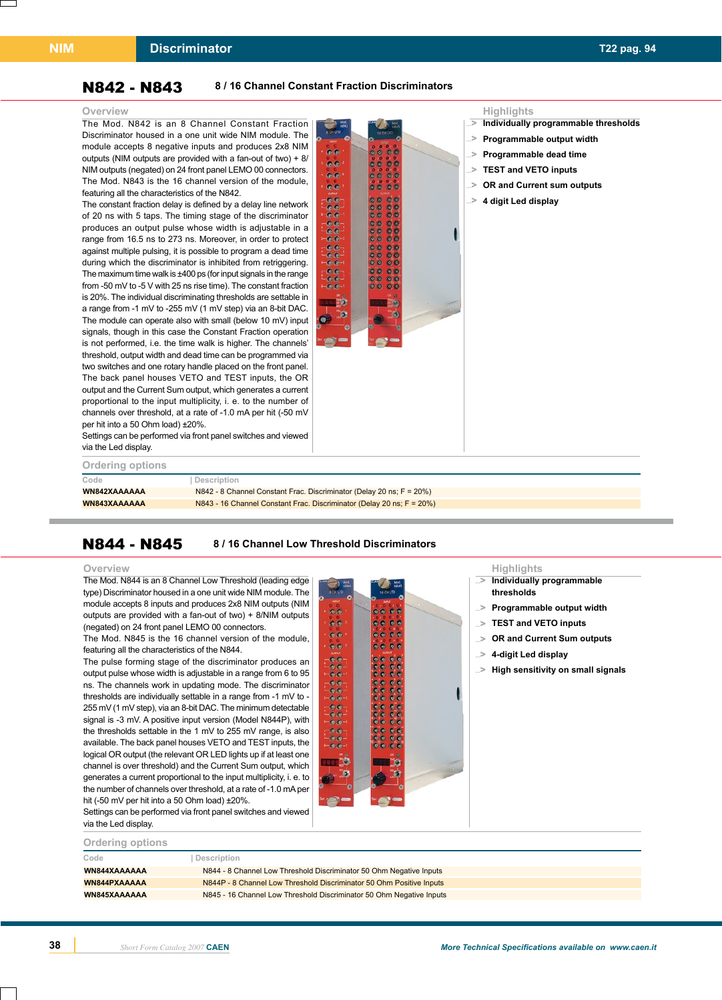### **Discriminator T22 pag. 94**

### N842 - N843 **8 / 16 Channel Constant Fraction Discriminators**

The Mod. N842 is an 8 Channel Constant Fraction Discriminator housed in a one unit wide NIM module. The module accepts 8 negative inputs and produces 2x8 NIM outputs (NIM outputs are provided with a fan-out of two) + 8/ NIM outputs (negated) on 24 front panel LEMO 00 connectors. The Mod. N843 is the 16 channel version of the module, featuring all the characteristics of the N842.

The constant fraction delay is defined by a delay line network of 20 ns with 5 taps. The timing stage of the discriminator produces an output pulse whose width is adjustable in a range from 16.5 ns to 273 ns. Moreover, in order to protect against multiple pulsing, it is possible to program a dead time during which the discriminator is inhibited from retriggering. The maximum time walk is ±400 ps (for input signals in the range from -50 mV to -5 V with 25 ns rise time). The constant fraction is 20%. The individual discriminating thresholds are settable in a range from -1 mV to -255 mV (1 mV step) via an 8-bit DAC. The module can operate also with small (below 10 mV) input signals, though in this case the Constant Fraction operation is not performed, i.e. the time walk is higher. The channels' threshold, output width and dead time can be programmed via two switches and one rotary handle placed on the front panel. The back panel houses VETO and TEST inputs, the OR output and the Current Sum output, which generates a current proportional to the input multiplicity, i. e. to the number of channels over threshold, at a rate of -1.0 mA per hit (-50 mV per hit into a 50 Ohm load) ±20%.



- **Individually programmable thresholds ...**>
- **Programmable output width ...**>
- **Programmable dead time ...**>
- **TEST and VETO inputs ...**>
- **OR and Current sum outputs ...**>
- **4 digit Led display ...**>

Settings can be performed via front panel switches and viewed via the Led display.

| Ordering options |                                                                              |
|------------------|------------------------------------------------------------------------------|
| Code             | Description                                                                  |
| WN842XAAAAAA     | N842 - 8 Channel Constant Frac. Discriminator (Delay 20 ns; $F = 20\%$ )     |
| WN843XAAAAAA     | $N843 - 16$ Channel Constant Frac. Discriminator (Delay 20 ns; $F = 20\%)$ ) |

### N844 - N845 **8 / 16 Channel Low Threshold Discriminators**

The Mod. N844 is an 8 Channel Low Threshold (leading edge type) Discriminator housed in a one unit wide NIM module. The module accepts 8 inputs and produces 2x8 NIM outputs (NIM outputs are provided with a fan-out of two) + 8/NIM outputs (negated) on 24 front panel LEMO 00 connectors.

The Mod. N845 is the 16 channel version of the module, featuring all the characteristics of the N844.

The pulse forming stage of the discriminator produces an output pulse whose width is adjustable in a range from 6 to 95 ns. The channels work in updating mode. The discriminator thresholds are individually settable in a range from -1 mV to - 255 mV (1 mV step), via an 8-bit DAC. The minimum detectable signal is -3 mV. A positive input version (Model N844P), with the thresholds settable in the 1 mV to 255 mV range, is also available. The back panel houses VETO and TEST inputs, the logical OR output (the relevant OR LED lights up if at least one channel is over threshold) and the Current Sum output, which generates a current proportional to the input multiplicity, i. e. to the number of channels over threshold, at a rate of -1.0 mA per hit (-50 mV per hit into a 50 Ohm load) ±20%.



**Overview Highlights**

- **Individually programmable ...**> **thresholds**
- **Programmable output width ...**>
- **TEST and VETO inputs ...**>
- **OR and Current Sum outputs ...**>
- **4-digit Led display ...**>
- **High sensitivity on small signals ...**>

| Settings can be performed via front panel switches and viewed |
|---------------------------------------------------------------|
| via the Led display.                                          |

| <b>Ordering options</b> |                                                                      |
|-------------------------|----------------------------------------------------------------------|
| Code                    | Description                                                          |
| WN844XAAAAAA            | N844 - 8 Channel Low Threshold Discriminator 50 Ohm Negative Inputs  |
| WN844PXAAAAA            | N844P - 8 Channel Low Threshold Discriminator 50 Ohm Positive Inputs |
| WN845XAAAAAA            | N845 - 16 Channel Low Threshold Discriminator 50 Ohm Negative Inputs |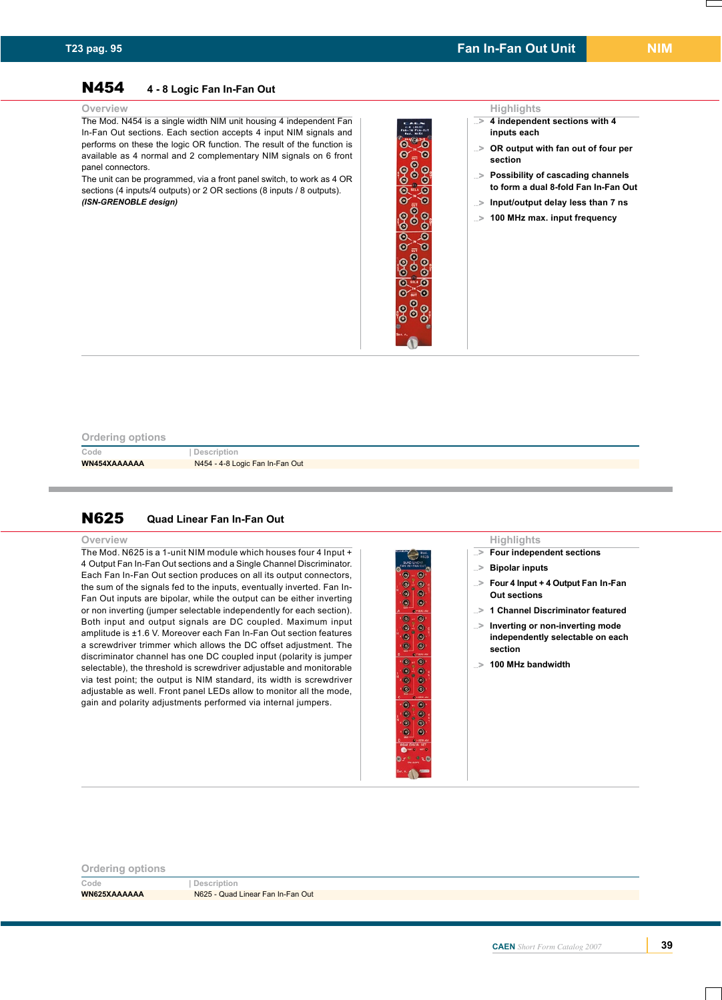# N454 **4 - 8 Logic Fan In-Fan Out**

The Mod. N454 is a single width NIM unit housing 4 independent Fan In-Fan Out sections. Each section accepts 4 input NIM signals and performs on these the logic OR function. The result of the function is available as 4 normal and 2 complementary NIM signals on 6 front panel connectors.

The unit can be programmed, via a front panel switch, to work as 4 OR sections (4 inputs/4 outputs) or 2 OR sections (8 inputs / 8 outputs). *(ISN-GRENOBLE design)*

### ö ۵  $\bullet$  $\bullet$ ၜႜၟၜ<br>ၜၟႜႜႜၜ <u>) စီစီ</u> <u>ಿಂಕಿನ</u><br>೧೯೯೯<br>೧೯೯೯ ၟၜ<br>ၟၜၜၟ **969** ) စီစီ<br>-<br>- $\overline{\bullet}$  $\ddot{\bullet}$  $\bullet$  $\ddot{\mathbf{e}}$  $\bullet$ ø Ġ ď ¢  $\bullet$  $\bullet$ ٠ Ċ

### **Overview Highlights**

- **4 independent sections with 4 ...**> **inputs each**
- **OR output with fan out of four per ...**> **section**
- **Possibility of cascading channels ...**> **to form a dual 8-fold Fan In-Fan Out**
- **Input/output delay less than 7 ns ...**>
- **100 MHz max. input frequency ...**>

### **Ordering options**

**Code | Description**

**WN454XAAAAAA** N454 - 4-8 Logic Fan In-Fan Out

### N625 **Quad Linear Fan In-Fan Out**

The Mod. N625 is a 1-unit NIM module which houses four 4 Input  $+$ 4 Output Fan In-Fan Out sections and a Single Channel Discriminator. Each Fan In-Fan Out section produces on all its output connectors, the sum of the signals fed to the inputs, eventually inverted. Fan In-Fan Out inputs are bipolar, while the output can be either inverting or non inverting (jumper selectable independently for each section). Both input and output signals are DC coupled. Maximum input amplitude is ±1.6 V. Moreover each Fan In-Fan Out section features a screwdriver trimmer which allows the DC offset adjustment. The discriminator channel has one DC coupled input (polarity is jumper selectable), the threshold is screwdriver adjustable and monitorable via test point; the output is NIM standard, its width is screwdriver adjustable as well. Front panel LEDs allow to monitor all the mode, gain and polarity adjustments performed via internal jumpers.



### **Overview Highlights**

- **Four independent sections ...**>
- **Bipolar inputs ...**>
- **Four 4 Input + 4 Output Fan In-Fan Out sections ...**>
- **1 Channel Discriminator featured ...**>
- **Inverting or non-inverting mode ...**> **independently selectable on each section**
- **100 MHz bandwidth ...**>

### **Ordering options**

**Code | Description**

**WN625XAAAAAA** N625 - Quad Linear Fan In-Fan Out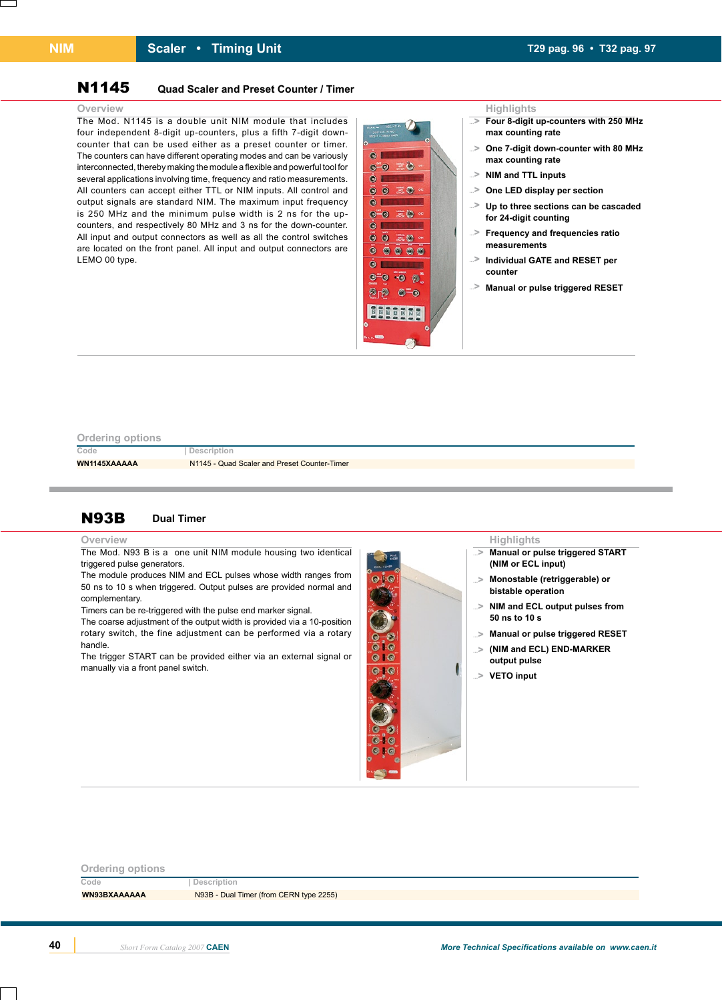### **Scaler • Timing Unit T29 pag. 96 • T32 pag. 97**

### N1145 **Quad Scaler and Preset Counter / Timer**

The Mod. N1145 is a double unit NIM module that includes four independent 8-digit up-counters, plus a fifth 7-digit downcounter that can be used either as a preset counter or timer. The counters can have different operating modes and can be variously interconnected, thereby making the module a flexible and powerful tool for several applications involving time, frequency and ratio measurements. All counters can accept either TTL or NIM inputs. All control and output signals are standard NIM. The maximum input frequency is 250 MHz and the minimum pulse width is 2 ns for the upcounters, and respectively 80 MHz and 3 ns for the down-counter. All input and output connectors as well as all the control switches are located on the front panel. All input and output connectors are LEMO 00 type.



- **Four 8-digit up-counters with 250 MHz ...**> **max counting rate**
- **One 7-digit down-counter with 80 MHz ...**> **max counting rate**
- **NIM and TTL inputs ...**>
- ...> One LED display per section
- **Up to three sections can be cascaded ...**> **for 24-digit counting**
- **Frequency and frequencies ratio measurements ...**>
- **Individual GATE and RESET per counter ...**>
- **Manual or pulse triggered RESET ...**>

**Manual or pulse triggered START** 

**Monostable (retriggerable) or** 

**NIM and ECL output pulses from** 

**Manual or pulse triggered RESET ...**> **(NIM and ECL) END-MARKER** 

**(NIM or ECL input)**

**bistable operation**

**50 ns to 10 s**

**...**>

**...**>

**...**>

**...**>

**output pulse VETO input ...**>

### **Ordering options**

**Code | Description**

WN1145XAAAAA **N1145 - Quad Scaler and Preset Counter-Timer** 

### N93B **Dual Timer**

### **Overview Highlights**

The Mod. N93 B is a one unit NIM module housing two identical triggered pulse generators.

The module produces NIM and ECL pulses whose width ranges from 50 ns to 10 s when triggered. Output pulses are provided normal and complementary.

Timers can be re-triggered with the pulse end marker signal.

The coarse adjustment of the output width is provided via a 10-position rotary switch, the fine adjustment can be performed via a rotary handle.

The trigger START can be provided either via an external signal or manually via a front panel switch.

# $\bullet$  $0.6$  $0:0$  $0+0$

# **Code | Description Ordering options WN93BXAAAAAA** N93B - Dual Timer (from CERN type 2255)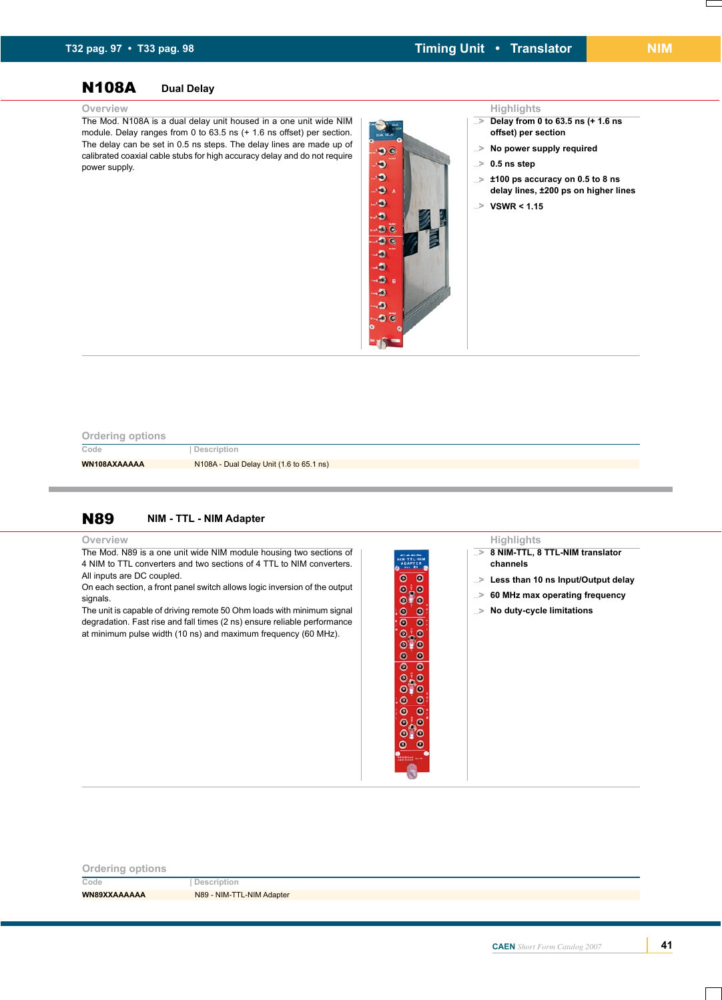# N108A **Dual Delay**

The Mod. N108A is a dual delay unit housed in a one unit wide NIM module. Delay ranges from 0 to 63.5 ns (+ 1.6 ns offset) per section. The delay can be set in 0.5 ns steps. The delay lines are made up of calibrated coaxial cable stubs for high accuracy delay and do not require power supply.



- **Delay from 0 to 63.5 ns (+ 1.6 ns ...**> **offset) per section**
- **No power supply required ...**>
- **0.5 ns step ...**>
- **±100 ps accuracy on 0.5 to 8 ns ...**> **delay lines, ±200 ps on higher lines**
- **VSWR < 1.15 ...**>

### **Ordering options**

**Code | Description**

**WN108AXAAAAA** N108A - Dual Delay Unit (1.6 to 65.1 ns)

### N89 **NIM - TTL - NIM Adapter**

**Overview**

The Mod. N89 is a one unit wide NIM module housing two sections of 4 NIM to TTL converters and two sections of 4 TTL to NIM converters. All inputs are DC coupled.

On each section, a front panel switch allows logic inversion of the output signals.

The unit is capable of driving remote 50 Ohm loads with minimum signal degradation. Fast rise and fall times (2 ns) ensure reliable performance at minimum pulse width (10 ns) and maximum frequency (60 MHz).

 $\overline{\bullet}$   $\overline{\bullet}$  $\frac{8}{10}$  $\frac{1}{\sqrt{2}}$  $0.0$  $O<sub>10</sub>$  $\bullet$   $\bullet$  $\bullet$   $\bullet$  $0.0$  $0.0$  $\overline{\bullet}$  $\bullet$  $0.0$  $O<sub>0</sub>$   $O<sub>0</sub>$  $\bullet$  $\epsilon$ 

### **Highlights**

- **8 NIM-TTL, 8 TTL-NIM translator ...**> **channels**
- **Less than 10 ns Input/Output delay ...**>
- **60 MHz max operating frequency ...**>
- **No duty-cycle limitations ...**>

**Ordering options Code | Description** WN89XXAAAAAA<br>N89 - NIM-TTL-NIM Adapter